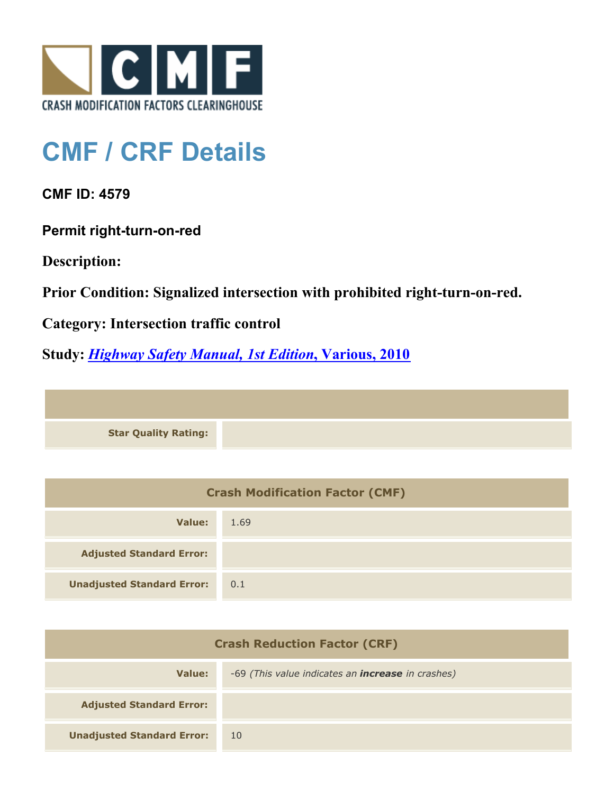

## **CMF / CRF Details**

**CMF ID: 4579**

**Permit right-turn-on-red**

**Description:** 

**Prior Condition: Signalized intersection with prohibited right-turn-on-red.**

**Category: Intersection traffic control**

**Study:** *[Highway Safety Manual, 1st Edition](http://www.cmfclearinghouse.org/study_detail.cfm?stid=297)***[, Various, 2010](http://www.cmfclearinghouse.org/study_detail.cfm?stid=297)**

**Star Quality Rating:**

| <b>Crash Modification Factor (CMF)</b> |      |  |
|----------------------------------------|------|--|
| Value:                                 | 1.69 |  |
| <b>Adjusted Standard Error:</b>        |      |  |
| <b>Unadjusted Standard Error:</b>      | 0.1  |  |

| <b>Crash Reduction Factor (CRF)</b> |                                                          |  |
|-------------------------------------|----------------------------------------------------------|--|
| Value:                              | -69 (This value indicates an <b>increase</b> in crashes) |  |
| <b>Adjusted Standard Error:</b>     |                                                          |  |
| <b>Unadjusted Standard Error:</b>   | 10                                                       |  |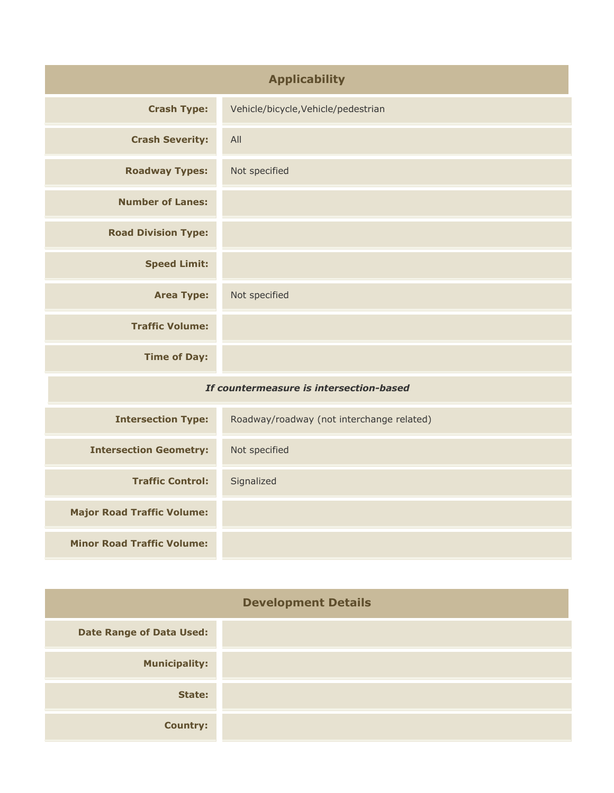| <b>Applicability</b>                    |                                           |
|-----------------------------------------|-------------------------------------------|
| <b>Crash Type:</b>                      | Vehicle/bicycle, Vehicle/pedestrian       |
| <b>Crash Severity:</b>                  | All                                       |
| <b>Roadway Types:</b>                   | Not specified                             |
| <b>Number of Lanes:</b>                 |                                           |
| <b>Road Division Type:</b>              |                                           |
| <b>Speed Limit:</b>                     |                                           |
| <b>Area Type:</b>                       | Not specified                             |
| <b>Traffic Volume:</b>                  |                                           |
| <b>Time of Day:</b>                     |                                           |
| If countermeasure is intersection-based |                                           |
| <b>Intersection Type:</b>               | Roadway/roadway (not interchange related) |
| <b>Intersection Geometry:</b>           | Not specified                             |
| <b>Traffic Control:</b>                 | Signalized                                |
| <b>Major Road Traffic Volume:</b>       |                                           |
| <b>Minor Road Traffic Volume:</b>       |                                           |